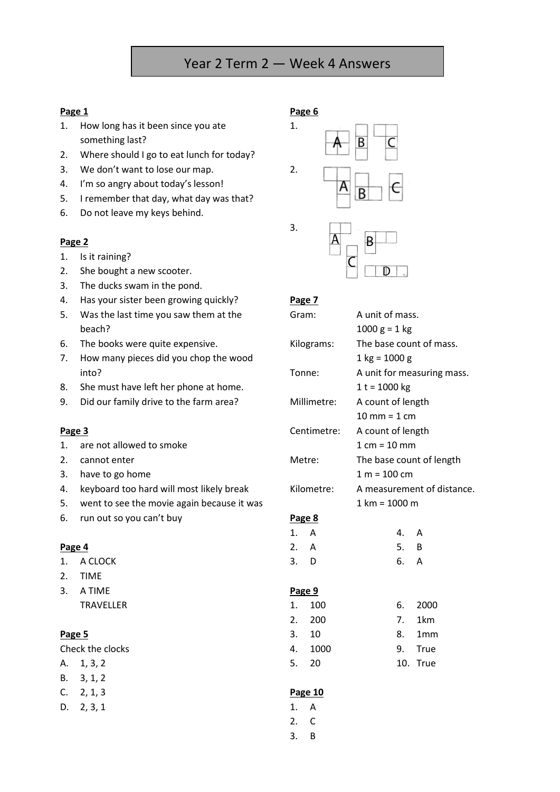# Year 2 Term 2 — Week 4 Answers

### **Page 1**

- 1. How long has it been since you ate something last?
- 2. Where should I go to eat lunch for today?
- 3. We don't want to lose our map.
- 4. I'm so angry about today's lesson!
- 5. I remember that day, what day was that?
- 6. Do not leave my keys behind.

### **Page 2**

- 1. Is it raining?
- 2. She bought a new scooter.
- 3. The ducks swam in the pond.
- 4. Has your sister been growing quickly?
- 5. Was the last time you saw them at the beach?
- 6. The books were quite expensive.
- 7. How many pieces did you chop the wood into?
- 8. She must have left her phone at home.
- 9. Did our family drive to the farm area?

### **Page 3**

- 1. are not allowed to smoke
- 2. cannot enter
- 3. have to go home
- 4. keyboard too hard will most likely break
- 5. went to see the movie again because it was
- 6. run out so you can't buy

#### **Page 4**

- 1. A CLOCK
- 2. TIME
- 3. A TIME TRAVELLER

### **Page 5**

Check the clocks

- A. 1, 3, 2
- B. 3, 1, 2
- C. 2, 1, 3
- D. 2, 3, 1



#### **Page 7**

| Gram:      |             | A unit of mass.                 |                            |                            |  |  |  |
|------------|-------------|---------------------------------|----------------------------|----------------------------|--|--|--|
|            |             | $1000 g = 1 kg$                 |                            |                            |  |  |  |
| Kilograms: |             |                                 |                            | The base count of mass.    |  |  |  |
|            |             | $1 \text{ kg} = 1000 \text{ g}$ |                            |                            |  |  |  |
|            | Tonne:      |                                 |                            | A unit for measuring mass. |  |  |  |
|            |             | $1 t = 1000 kg$                 |                            |                            |  |  |  |
|            | Millimetre: |                                 | A count of length          |                            |  |  |  |
|            |             |                                 | $10$ mm = $1$ cm           |                            |  |  |  |
|            | Centimetre: | A count of length               |                            |                            |  |  |  |
|            |             |                                 | $1 cm = 10 mm$             |                            |  |  |  |
|            | Metre:      |                                 | The base count of length   |                            |  |  |  |
|            |             |                                 | $1 m = 100 cm$             |                            |  |  |  |
|            | Kilometre:  |                                 | A measurement of distance. |                            |  |  |  |
|            |             | $1 km = 1000 m$                 |                            |                            |  |  |  |
|            | Page 8      |                                 |                            |                            |  |  |  |
| 1. A       |             |                                 | 4. A                       |                            |  |  |  |
| 2. A       |             |                                 | 5. B                       |                            |  |  |  |
| 3. D       |             |                                 | 6. A                       |                            |  |  |  |
|            | Page 9      |                                 |                            |                            |  |  |  |
| 1.         | 100         |                                 |                            | 6. 2000                    |  |  |  |
|            | 2. 200      |                                 |                            | 7. 1km                     |  |  |  |
|            | 3. 10       |                                 |                            | 8. 1mm                     |  |  |  |
|            | 4. 1000     |                                 |                            | 9. True                    |  |  |  |
|            | 5. 20       |                                 |                            | 10. True                   |  |  |  |
|            | Page 10     |                                 |                            |                            |  |  |  |
| 1.         | A           |                                 |                            |                            |  |  |  |
| 2.         | C           |                                 |                            |                            |  |  |  |

3. B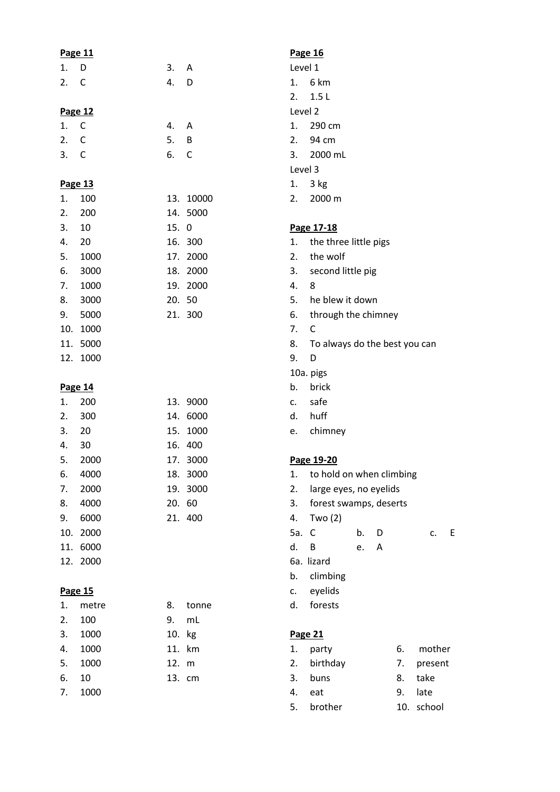| Page 11 |              |        |              |         | Page 16                       |    |            |
|---------|--------------|--------|--------------|---------|-------------------------------|----|------------|
| 1.      | D            | 3.     | A            | Level 1 |                               |    |            |
| 2.      | $\mathsf{C}$ | 4.     | D            | 1.      | 6 km                          |    |            |
|         |              |        |              | 2.      | 1.5L                          |    |            |
| Page 12 |              |        |              | Level 2 |                               |    |            |
| 1.      | $\mathsf{C}$ | 4.     | A            | 1.      | 290 cm                        |    |            |
| 2.      | C            | 5.     | B            | 2.      | 94 cm                         |    |            |
| 3.      | C            | 6.     | $\mathsf{C}$ | 3.      | 2000 mL                       |    |            |
|         |              |        |              | Level 3 |                               |    |            |
|         | Page 13      |        |              | 1.      | 3 kg                          |    |            |
| 1.      | 100          |        | 13. 10000    | 2.      | 2000 m                        |    |            |
| 2.      | 200          |        | 14. 5000     |         |                               |    |            |
| 3.      | 10           | 15. 0  |              |         | Page 17-18                    |    |            |
| 4.      | 20           |        | 16. 300      | 1.      | the three little pigs         |    |            |
| 5.      | 1000         |        | 17. 2000     | 2.      | the wolf                      |    |            |
| 6.      | 3000         |        | 18. 2000     | 3.      | second little pig             |    |            |
| 7.      | 1000         |        | 19. 2000     | 4.      | 8                             |    |            |
| 8.      | 3000         | 20. 50 |              | 5.      | he blew it down               |    |            |
| 9.      | 5000         |        | 21. 300      | 6.      | through the chimney           |    |            |
| 10.     | 1000         |        |              | 7.      | $\mathsf{C}$                  |    |            |
|         | 11. 5000     |        |              | 8.      | To always do the best you can |    |            |
|         | 12. 1000     |        |              | 9.      | D                             |    |            |
|         |              |        |              |         | 10a. pigs                     |    |            |
|         | Page 14      |        |              | b.      | brick                         |    |            |
| 1.      | 200          |        | 13. 9000     | c.      | safe                          |    |            |
| 2.      | 300          |        | 14. 6000     | d.      | huff                          |    |            |
| 3.      | 20           |        | 15. 1000     | e.      | chimney                       |    |            |
| 4.      | 30           |        | 16. 400      |         |                               |    |            |
| 5.      | 2000         |        | 17. 3000     |         | Page 19-20                    |    |            |
| 6.      | 4000         |        | 18. 3000     | 1.      | to hold on when climbing      |    |            |
| 7.      | 2000         |        | 19. 3000     | 2.      | large eyes, no eyelids        |    |            |
| 8.      | 4000         | 20. 60 |              | 3.      | forest swamps, deserts        |    |            |
| 9.      | 6000         |        | 21. 400      | 4.      | Two $(2)$                     |    |            |
|         | 10. 2000     |        |              | 5a.     | $\mathsf{C}$<br>b.<br>D       |    | E.<br>c.   |
|         | 11. 6000     |        |              | d.      | B<br>A<br>e.                  |    |            |
|         | 12. 2000     |        |              |         | 6a. lizard                    |    |            |
|         |              |        |              | b.      | climbing                      |    |            |
| Page 15 |              |        |              | c.      | eyelids                       |    |            |
| 1.      | metre        | 8.     | tonne        | d.      | forests                       |    |            |
| 2.      | 100          | 9.     | mL           |         |                               |    |            |
| 3.      | 1000         | 10. kg |              |         | Page 21                       |    |            |
|         |              |        |              |         |                               |    |            |
| 4.      | 1000         |        | 11. km       | 1.      | party                         | 6. | mother     |
| 5.      | 1000         | 12. m  |              | 2.      | birthday                      | 7. | present    |
| 6.      | 10           |        | 13. cm       | 3.      | buns                          | 8. | take       |
| 7.      | 1000         |        |              | 4.      | eat                           | 9. | late       |
|         |              |        |              | 5.      | brother                       |    | 10. school |